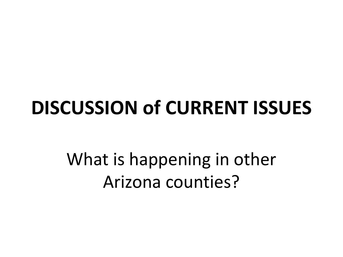#### **DISCUSSION of CURRENT ISSUES**

What is happening in other Arizona counties?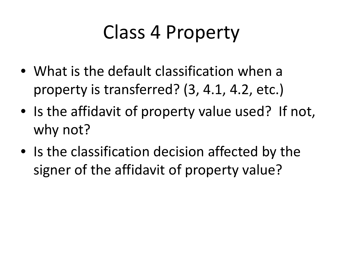### Class 4 Property

- What is the default classification when a property is transferred? (3, 4.1, 4.2, etc.)
- Is the affidavit of property value used? If not, why not?
- Is the classification decision affected by the signer of the affidavit of property value?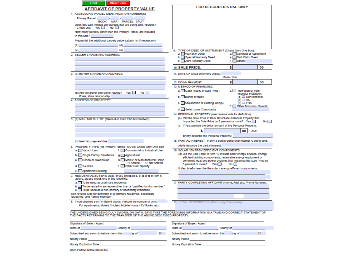| <b>Clear Form</b><br><b>Print</b>                                                                                                                                                          |                                                                                                                                                                                                  |
|--------------------------------------------------------------------------------------------------------------------------------------------------------------------------------------------|--------------------------------------------------------------------------------------------------------------------------------------------------------------------------------------------------|
| AFFIDAVIT OF PROPERTY VALUE                                                                                                                                                                | FOR RECORDER'S USE ONLY                                                                                                                                                                          |
| 1. ASSESSOR'S PARCEL IDENTIFICATION NUMBER(S)                                                                                                                                              |                                                                                                                                                                                                  |
| Primary Parcel:                                                                                                                                                                            |                                                                                                                                                                                                  |
| <b>BOOK</b><br><b>MAP</b><br><b>PARCEL SPLIT</b>                                                                                                                                           |                                                                                                                                                                                                  |
|                                                                                                                                                                                            |                                                                                                                                                                                                  |
| How many parcels, other than the Primary Parcel, are included<br>In this sale?                                                                                                             |                                                                                                                                                                                                  |
| Please list the additional parcels below (attach list if necessary):                                                                                                                       |                                                                                                                                                                                                  |
| (1)<br>(3)                                                                                                                                                                                 |                                                                                                                                                                                                  |
| (4)<br>(2)                                                                                                                                                                                 | TYPE OF DEED OR INSTRUMENT (Check Only One Box):                                                                                                                                                 |
| SELLER'S NAME AND ADDRESS:<br>2                                                                                                                                                            | a. Warranty Deed<br>d. Contract or Agreement                                                                                                                                                     |
|                                                                                                                                                                                            | e. Quit Claim Deed<br>b. Special Warranty Deed                                                                                                                                                   |
|                                                                                                                                                                                            | c. Joint Tenancy Deed<br>$t.$ Other:                                                                                                                                                             |
|                                                                                                                                                                                            | 00<br>10. SALE PRICE:<br>s                                                                                                                                                                       |
| 3. (a) BUYER'S NAME AND ADDRESS:                                                                                                                                                           | 11. DATE OF SALE (Numeric Digits):<br>Month / Year                                                                                                                                               |
|                                                                                                                                                                                            | Ŝ<br>00<br>12. DOWN PAYMENT                                                                                                                                                                      |
|                                                                                                                                                                                            | 13. METHOD OF FINANCING:                                                                                                                                                                         |
| No.<br>(b) Are the Buyer and Seller related?<br>Yes L                                                                                                                                      | a. Cash (100% of Sale Price)<br>e. New loan(s) from<br>financial Institution:                                                                                                                    |
| If Yes, state relationship:<br>4. ADDRESS OF PROPERTY:                                                                                                                                     | b. Barter or trade<br>$(1)$ $\Box$ Conventional<br>$(2)$ $\Box$ VA                                                                                                                               |
|                                                                                                                                                                                            | (3)□ FHA<br>c. Assumption of existing loan(s)<br>f. Other financing; Specify:                                                                                                                    |
|                                                                                                                                                                                            | d. Seller Loan (Carryback)                                                                                                                                                                       |
|                                                                                                                                                                                            | 14. PERSONAL PROPERTY (see reverse side for definition):                                                                                                                                         |
| 5. (a) MAIL TAX BILL TO: (Taxes due even if no bill received)                                                                                                                              | (a) Did the Sale Price in Item 10 include Personal Property that<br>Impacted the Sale Price by 5 percent or more? Yes<br>No I<br>(b) If Yes, provide the dollar amount of the Personal Property: |
|                                                                                                                                                                                            | 00<br><b>AND</b>                                                                                                                                                                                 |
|                                                                                                                                                                                            | briefly describe the Personal Property:                                                                                                                                                          |
|                                                                                                                                                                                            | 15. PARTIAL INTEREST: If only a partial ownership interest is being sold,                                                                                                                        |
| (b) Next tax payment due                                                                                                                                                                   | briefly describe the partial interest:                                                                                                                                                           |
| 6. PROPERTY TYPE (for Primary Parcel): NOTE: Check Only One Box<br>a. Vacant Land<br>f. Commercial or Industrial Use                                                                       | 16. SOLAR / ENERGY EFFICIENT COMPONENTS:                                                                                                                                                         |
| b. Single Family Residence<br>g. Agricultural                                                                                                                                              | (a) Did the Sale Price in Item 10 include solar energy devices, energy                                                                                                                           |
| c. Condo or Townhouse<br>Mobile or Manufactured Home                                                                                                                                       | efficient building components, renewable energy equipment or                                                                                                                                     |
| Affixed Not Affixed                                                                                                                                                                        | combined heat and power systems that impacted the Sale Price by<br>Yes <b>The Yes</b><br>No.<br>5 percent or more?                                                                               |
| $d.$ 2-4 Plex<br>Other Use; Specify:                                                                                                                                                       | If Yes, briefly describe the solar / energy efficient components:                                                                                                                                |
| e. Apartment Building                                                                                                                                                                      |                                                                                                                                                                                                  |
| 7. RESIDENTIAL BUYER'S USE: If you checked b, c, d or h in Item 6<br>above, please check one of the following:                                                                             |                                                                                                                                                                                                  |
| a. To be used as a primary residence.                                                                                                                                                      | 17. PARTY COMPLETING AFFIDAVIT (Name, Address, Phone Number):                                                                                                                                    |
| b. To be rented to someone other than a "qualified family member."                                                                                                                         |                                                                                                                                                                                                  |
| c. To be used as a non-primary or secondary residence.<br>See reverse side for definition of a "primary residence, secondary                                                               |                                                                                                                                                                                                  |
| residence" and "family member."                                                                                                                                                            |                                                                                                                                                                                                  |
| 8. If you checked e or f in item 6 above, indicate the number of units:                                                                                                                    | 18. LEGAL DESCRIPTION (attach copy if necessary):                                                                                                                                                |
| For Apartments, Motels / Hotels, Mobile Home / RV Parks, etc.                                                                                                                              |                                                                                                                                                                                                  |
| THE UNDERSIGNED BEING DULY SWORN, ON OATH, SAYS THAT THE FOREGOING INFORMATION IS A TRUE AND CORRECT STATEMENT OF<br>THE FACTS PERTAINING TO THE TRANSFER OF THE ABOVE DESCRIBED PROPERTY. |                                                                                                                                                                                                  |
| Signature of Seller / Agent                                                                                                                                                                | Signature of Buyer / Agent                                                                                                                                                                       |
| State of<br>County of                                                                                                                                                                      | State of<br>, County of                                                                                                                                                                          |
| Subscribed and swom to before me on this day of<br>20                                                                                                                                      | Subscribed and sworn to before me on this day of<br>20 <sub>0</sub>                                                                                                                              |
|                                                                                                                                                                                            |                                                                                                                                                                                                  |
| Notary Public                                                                                                                                                                              | Notary Public                                                                                                                                                                                    |

DOR FORM 82162 (04/2014)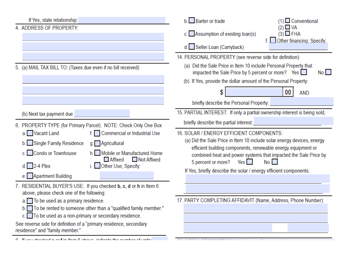If Yes, state relationship: **Barter or trade**  $(1)$  Conventional 4. ADDRESS OF PROPERTY  $(2)$   $\Box$  VA c. Assumption of existing  $\mathsf{loan}(s)$  $(3)$  FHA f. Other financing: Specify: d. Seller Loan (Carryback) 14. PERSONAL PROPERTY (see reverse side for definition): (a) Did the Sale Price in Item 10 include Personal Property that 5. (a) MAIL TAX BILL TO: (Taxes due even if no bill received) impacted the Sale Price by 5 percent or more? Yes  $No$ (b) If Yes, provide the dollar amount of the Personal Property: 00 **AND** briefly describe the Personal Property: 15. PARTIAL INTEREST: If only a partial ownership interest is being sold, (b) Next tax payment due briefly describe the partial interest: 6. PROPERTY TYPE (for Primary Parcel): NOTE: Check Only One Box a. Vacant Land f. Commercial or Industrial Use 16. SOLAR / ENERGY EFFICIENT COMPONENTS: (a) Did the Sale Price in Item 10 include solar energy devices, energy b. Single Family Residence g. Agricultural efficient building components, renewable energy equipment or c. Condo or Townhouse h. Mobile or Manufactured Home combined heat and power systems that impacted the Sale Price by Not Affixed **Affixed** 5 percent or more? Yes  $No$  $d.$  2-4 Plex i. Other Use; Specify: If Yes, briefly describe the solar / energy efficient components: e. Apartment Building 7. RESIDENTIAL BUYER'S USE: If you checked b, c, d or h in Item 6 above, please check one of the following: a. To be used as a primary residence. 17. PARTY COMPLETING AFFIDAVIT (Name, Address, Phone Number): b. To be rented to someone other than a "qualified family member."  $\mathbf{c}$ . To be used as a non-primary or secondary residence. See reverse side for definition of a "primary residence, secondary residence" and "family member." 0. If you shooked a set in Itam 8 shows indicate the number.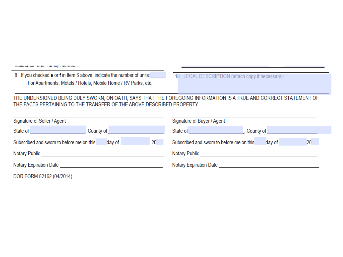| <b>ICBINGHOU GITS TORTING INCHINAL.</b> |  |
|-----------------------------------------|--|
|-----------------------------------------|--|

8. If you checked e or f in Item 6 above, indicate the number of units: For Apartments, Motels / Hotels, Mobile Home / RV Parks, etc.

18. LEGAL DESCRIPTION (attach copy if necessary):

THE UNDERSIGNED BEING DULY SWORN, ON OATH, SAYS THAT THE FOREGOING INFORMATION IS A TRUE AND CORRECT STATEMENT OF THE FACTS PERTAINING TO THE TRANSFER OF THE ABOVE DESCRIBED PROPERTY.

| Signature of Seller / Agent                                            |           | Signature of Buyer / Agent                             |  |
|------------------------------------------------------------------------|-----------|--------------------------------------------------------|--|
| State of                                                               | County of | State of<br>, County of                                |  |
| 20 <sub>2</sub><br>Subscribed and sworn to before me on this<br>day of |           | 20<br>Subscribed and sworn to before me on this day of |  |
|                                                                        |           | Notary Public Notary 2014 1996                         |  |
| Notary Expiration Date                                                 |           | <b>Notary Expiration Date</b>                          |  |
| DOR FORM 82162 (04/2014)                                               |           |                                                        |  |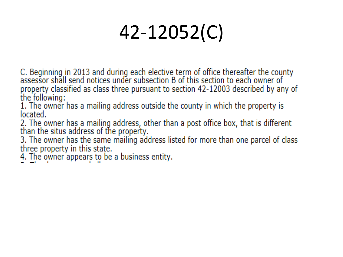# 42-12052(C)

C. Beginning in 2013 and during each elective term of office thereafter the county assessor shall send notices under subsection B of this section to each owner of property classified as class three pursuant to section 42-12003 described by any of the following:

1. The owner has a mailing address outside the county in which the property is located.

2. The owner has a mailing address, other than a post office box, that is different than the situs address of the property.

3. The owner has the same mailing address listed for more than one parcel of class three property in this state.

4. The owner appears to be a business entity.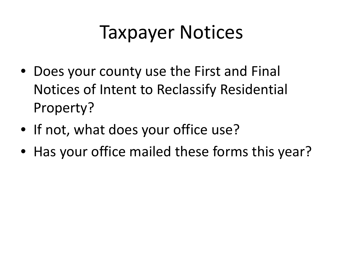#### Taxpayer Notices

- Does your county use the First and Final Notices of Intent to Reclassify Residential Property?
- If not, what does your office use?
- Has your office mailed these forms this year?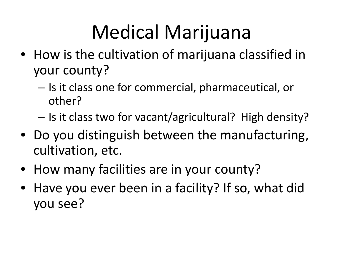# Medical Marijuana

- How is the cultivation of marijuana classified in your county?
	- Is it class one for commercial, pharmaceutical, or other?
	- Is it class two for vacant/agricultural? High density?
- Do you distinguish between the manufacturing, cultivation, etc.
- How many facilities are in your county?
- Have you ever been in a facility? If so, what did you see?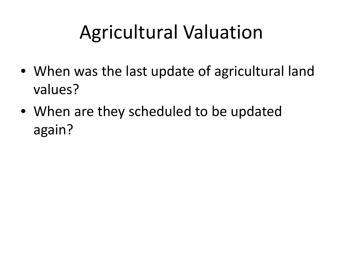### Agricultural Valuation

- When was the last update of agricultural land values?
- When are they scheduled to be updated again?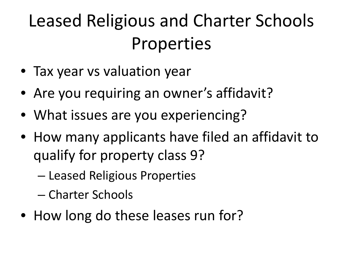#### Leased Religious and Charter Schools Properties

- Tax year vs valuation year
- Are you requiring an owner's affidavit?
- What issues are you experiencing?
- How many applicants have filed an affidavit to qualify for property class 9?
	- Leased Religious Properties
	- Charter Schools
- How long do these leases run for?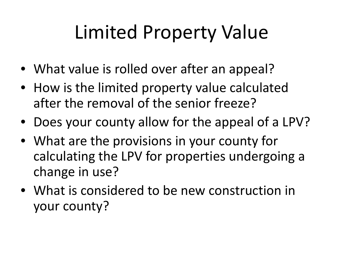# Limited Property Value

- What value is rolled over after an appeal?
- How is the limited property value calculated after the removal of the senior freeze?
- Does your county allow for the appeal of a LPV?
- What are the provisions in your county for calculating the LPV for properties undergoing a change in use?
- What is considered to be new construction in your county?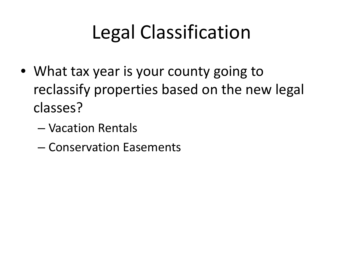## Legal Classification

- What tax year is your county going to reclassify properties based on the new legal classes?
	- Vacation Rentals
	- Conservation Easements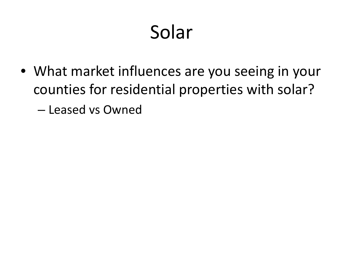# Solar

- What market influences are you seeing in your counties for residential properties with solar?
	- Leased vs Owned